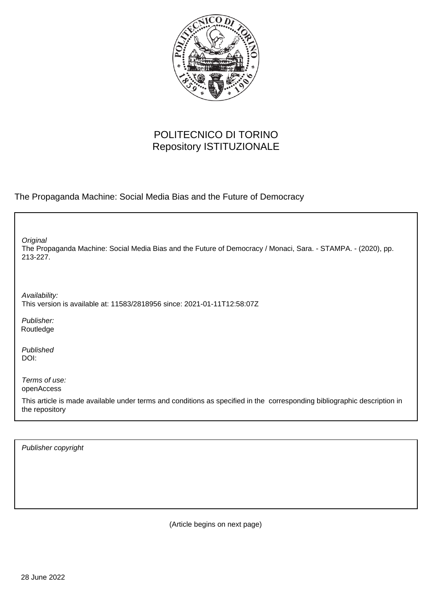

# POLITECNICO DI TORINO Repository ISTITUZIONALE

The Propaganda Machine: Social Media Bias and the Future of Democracy

The Propaganda Machine: Social Media Bias and the Future of Democracy / Monaci, Sara. - STAMPA. - (2020), pp. 213-227. **Original** 

Availability: This version is available at: 11583/2818956 since: 2021-01-11T12:58:07Z

Publisher: Routledge

Published DOI:

Terms of use: openAccess

This article is made available under terms and conditions as specified in the corresponding bibliographic description in the repository

Publisher copyright

(Article begins on next page)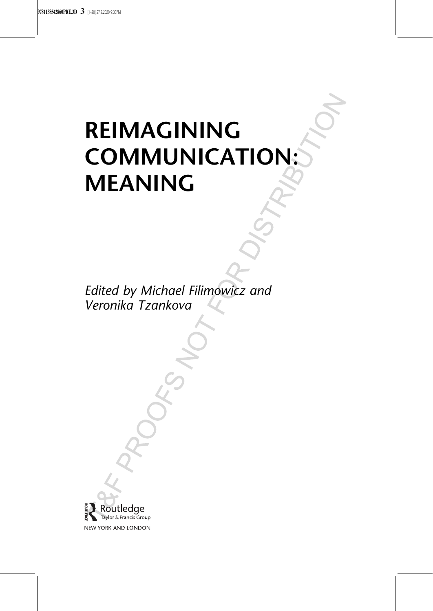# REIMAGINING COMMUNICATION: MEANING

Edited by Michael Filimowicz and Veronika Tzankova

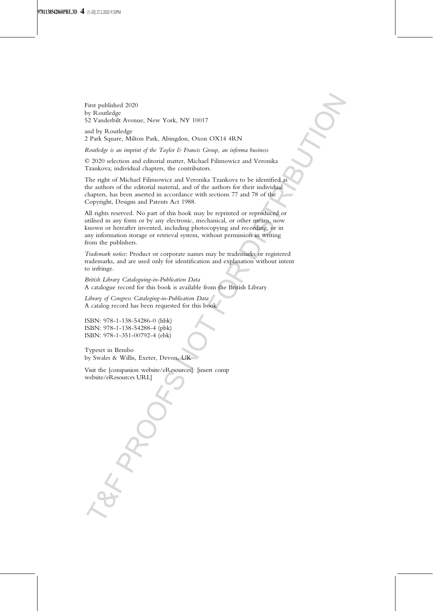First published 2020 by Routledge 52 Vanderbilt Avenue, New York, NY 10017

and by Routledge 2 Park Square, Milton Park, Abingdon, Oxon OX14 4RN

Routledge is an imprint of the Taylor & Francis Group, an informa business

© 2020 selection and editorial matter, Michael Filimowicz and Veronika Tzankova; individual chapters, the contributors.

The right of Michael Filimowicz and Veronika Tzankova to be identified as the authors of the editorial material, and of the authors for their individual chapters, has been asserted in accordance with sections 77 and 78 of the Copyright, Designs and Patents Act 1988.

All rights reserved. No part of this book may be reprinted or reproduced or utilised in any form or by any electronic, mechanical, or other means, now known or hereafter invented, including photocopying and recording, or in any information storage or retrieval system, without permission in writing from the publishers.

Trademark notice: Product or corporate names may be trademarks or registered trademarks, and are used only for identification and explanation without intent to infringe.

British Library Cataloguing-in-Publication Data A catalogue record for this book is available from the British Library

Library of Congress Cataloging-in-Publication Data A catalog record has been requested for this book

ISBN: 978-1-138-54286-0 (hbk) ISBN: 978-1-138-54288-4 (pbk) ISBN: 978-1-351-00792-4 (ebk)

Typeset in Bembo by Swales & Willis, Exeter, Devon, UK

RR<br>CR

Visit the [companion website/eResources]: [insert comp website/eResources URL]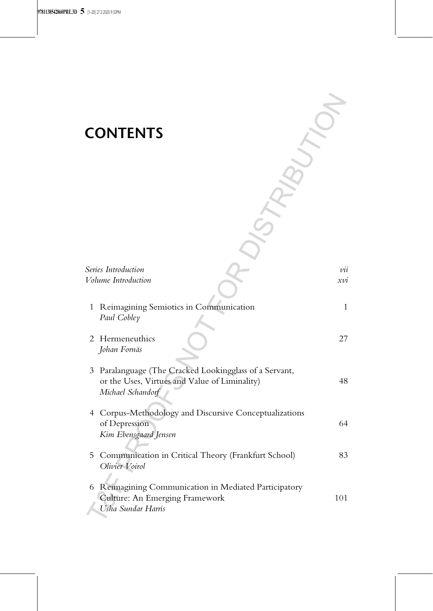| <b>CONTENTS</b>                                                                                                                 |            |
|---------------------------------------------------------------------------------------------------------------------------------|------------|
| Series Introduction<br><i>Volume Introduction</i>                                                                               | vii<br>xvi |
| Reimagining Semiotics in Communication<br>1<br>Paul Cobley                                                                      | 1          |
| Hermeneuthics<br>$\mathcal{D}_{\cdot}$<br>Johan Fornäs                                                                          | 27         |
| Paralanguage (The Cracked Lookingglass of a Servant,<br>3<br>or the Uses, Virtues and Value of Liminality)<br>Michael Schandorf | 48         |
| 4 Corpus-Methodology and Discursive Conceptualizations<br>of Depression<br>Kim Ebensgaard Jensen                                | 64         |
| Communication in Critical Theory (Frankfurt School)<br>5.<br>Olivier Voirol                                                     | 83         |
| 6 Reimagining Communication in Mediated Participatory<br>Culture: An Emerging Framework<br>Usha Sundar Harris                   | 101        |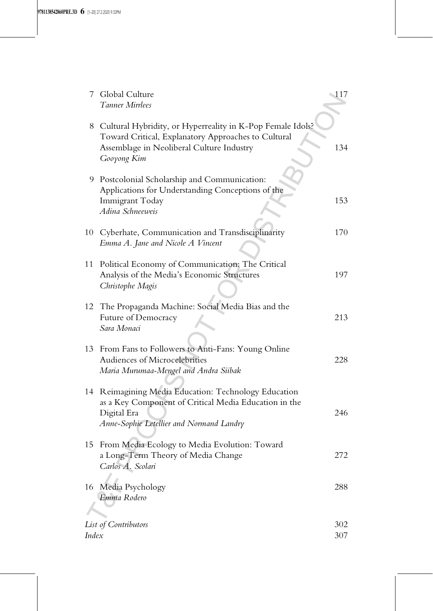| 7     | Global Culture<br>Tanner Mirrlees                                                                                                                                             | $\sim$ 117 |
|-------|-------------------------------------------------------------------------------------------------------------------------------------------------------------------------------|------------|
| 8.    | Cultural Hybridity, or Hyperreality in K-Pop Female Idols?<br>Toward Critical, Explanatory Approaches to Cultural<br>Assemblage in Neoliberal Culture Industry<br>Gooyong Kim | 134        |
| 9.    | Postcolonial Scholarship and Communication:<br>Applications for Understanding Conceptions of the<br>Immigrant Today<br>Adina Schneeweis                                       | 153        |
|       | 10 Cyberhate, Communication and Transdisciplinarity<br>Emma A. Jane and Nicole A Vincent                                                                                      | 170        |
| 11    | Political Economy of Communication: The Critical<br>Analysis of the Media's Economic Structures<br>Christophe Magis                                                           | 197        |
| 12    | The Propaganda Machine: Social Media Bias and the<br>Future of Democracy<br>Sara Monaci                                                                                       | 213        |
| 13    | From Fans to Followers to Anti-Fans: Young Online<br>Audiences of Microcelebrities<br>Maria Murumaa-Mengel and Andra Siibak                                                   | 228        |
| 14    | Reimagining Media Education: Technology Education<br>as a Key Component of Critical Media Education in the<br>Digital Era<br>Anne-Sophie Letellier and Normand Landry         | 246        |
| 15    | From Media Ecology to Media Evolution: Toward<br>a Long-Term Theory of Media Change<br>Carlos A. Scolari                                                                      | 272        |
| 16    | Media Psychology<br>Emma Rodero                                                                                                                                               | 288        |
| Index | List of Contributors                                                                                                                                                          | 302<br>307 |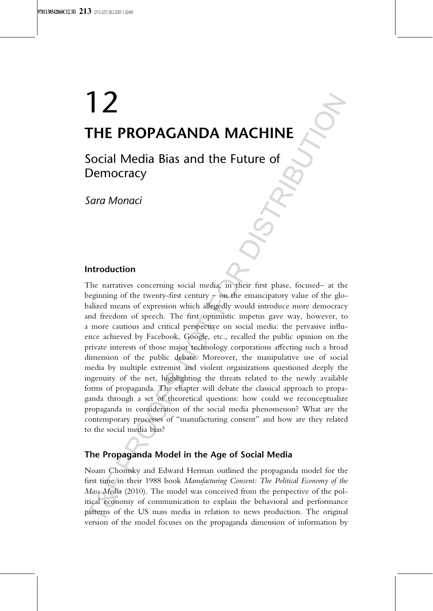# 12 THE PROPAGANDA MACHINE

Social Media Bias and the Future of **Democracy** 

Sara Monaci

# Introduction

The narratives concerning social media, in their first phase, focused– at the beginning of the twenty-first century  $-$  on the emancipatory value of the globalized means of expression which allegedly would introduce more democracy and freedom of speech. The first optimistic impetus gave way, however, to a more cautious and critical perspective on social media: the pervasive influence achieved by Facebook, Google, etc., recalled the public opinion on the private interests of those major technology corporations affecting such a broad dimension of the public debate. Moreover, the manipulative use of social media by multiple extremist and violent organizations questioned deeply the ingenuity of the net, highlighting the threats related to the newly available forms of propaganda. The chapter will debate the classical approach to propaganda through a set of theoretical questions: how could we reconceptualize propaganda in consideration of the social media phenomenon? What are the contemporary processes of "manufacturing consent" and how are they related to the social media bias?

# The Propaganda Model in the Age of Social Media

Noam Chomsky and Edward Herman outlined the propaganda model for the first time in their 1988 book Manufacturing Consent: The Political Economy of the Mass Media (2010). The model was conceived from the perspective of the political economy of communication to explain the behavioral and performance patterns of the US mass media in relation to news production. The original version of the model focuses on the propaganda dimension of information by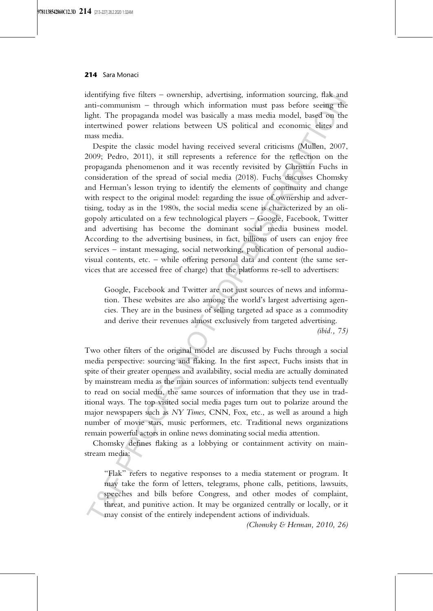identifying five filters – ownership, advertising, information sourcing, flak and anti-communism – through which information must pass before seeing the light. The propaganda model was basically a mass media model, based on the intertwined power relations between US political and economic elites and mass media.

Despite the classic model having received several criticisms (Mullen, 2007, 2009; Pedro, 2011), it still represents a reference for the reflection on the propaganda phenomenon and it was recently revisited by Christian Fuchs in consideration of the spread of social media (2018). Fuchs discusses Chomsky and Herman's lesson trying to identify the elements of continuity and change with respect to the original model: regarding the issue of ownership and advertising, today as in the 1980s, the social media scene is characterized by an oligopoly articulated on a few technological players – Google, Facebook, Twitter and advertising has become the dominant social media business model. According to the advertising business, in fact, billions of users can enjoy free services – instant messaging, social networking, publication of personal audiovisual contents, etc. – while offering personal data and content (the same services that are accessed free of charge) that the platforms re-sell to advertisers:

Google, Facebook and Twitter are not just sources of news and information. These websites are also among the world's largest advertising agencies. They are in the business of selling targeted ad space as a commodity and derive their revenues almost exclusively from targeted advertising.

(ibid., 75)

Two other filters of the original model are discussed by Fuchs through a social media perspective: sourcing and flaking. In the first aspect, Fuchs insists that in spite of their greater openness and availability, social media are actually dominated by mainstream media as the main sources of information: subjects tend eventually to read on social media, the same sources of information that they use in traditional ways. The top visited social media pages turn out to polarize around the major newspapers such as NY Times, CNN, Fox, etc., as well as around a high number of movie stars, music performers, etc. Traditional news organizations remain powerful actors in online news dominating social media attention.

Chomsky defines flaking as a lobbying or containment activity on mainstream media:

"Flak" refers to negative responses to a media statement or program. It may take the form of letters, telegrams, phone calls, petitions, lawsuits, speeches and bills before Congress, and other modes of complaint, threat, and punitive action. It may be organized centrally or locally, or it may consist of the entirely independent actions of individuals.

(Chomsky & Herman, 2010, 26)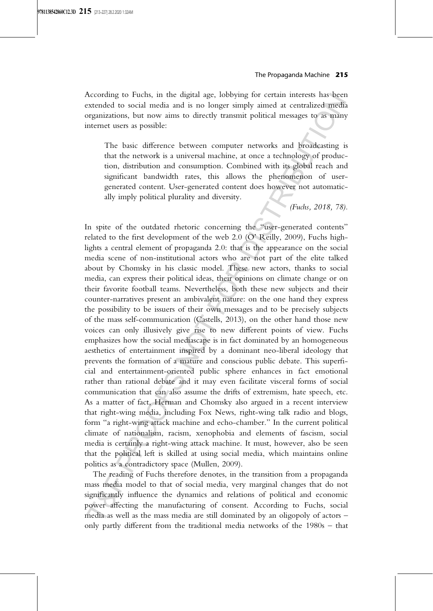According to Fuchs, in the digital age, lobbying for certain interests has been extended to social media and is no longer simply aimed at centralized media organizations, but now aims to directly transmit political messages to as many internet users as possible:

The basic difference between computer networks and broadcasting is that the network is a universal machine, at once a technology of production, distribution and consumption. Combined with its global reach and significant bandwidth rates, this allows the phenomenon of usergenerated content. User-generated content does however not automatically imply political plurality and diversity.

(Fuchs, 2018, 78).

In spite of the outdated rhetoric concerning the "user-generated contents" related to the first development of the web 2.0 (O' Reilly, 2009), Fuchs highlights a central element of propaganda 2.0: that is the appearance on the social media scene of non-institutional actors who are not part of the elite talked about by Chomsky in his classic model. These new actors, thanks to social media, can express their political ideas, their opinions on climate change or on their favorite football teams. Nevertheless, both these new subjects and their counter-narratives present an ambivalent nature: on the one hand they express the possibility to be issuers of their own messages and to be precisely subjects of the mass self-communication (Castells, 2013), on the other hand those new voices can only illusively give rise to new different points of view. Fuchs emphasizes how the social mediascape is in fact dominated by an homogeneous aesthetics of entertainment inspired by a dominant neo-liberal ideology that prevents the formation of a mature and conscious public debate. This superficial and entertainment-oriented public sphere enhances in fact emotional rather than rational debate and it may even facilitate visceral forms of social communication that can also assume the drifts of extremism, hate speech, etc. As a matter of fact, Herman and Chomsky also argued in a recent interview that right-wing media, including Fox News, right-wing talk radio and blogs, form "a right-wing attack machine and echo-chamber." In the current political climate of nationalism, racism, xenophobia and elements of fascism, social media is certainly a right-wing attack machine. It must, however, also be seen that the political left is skilled at using social media, which maintains online politics as a contradictory space (Mullen, 2009).

The reading of Fuchs therefore denotes, in the transition from a propaganda mass media model to that of social media, very marginal changes that do not significantly influence the dynamics and relations of political and economic power affecting the manufacturing of consent. According to Fuchs, social media as well as the mass media are still dominated by an oligopoly of actors – only partly different from the traditional media networks of the 1980s – that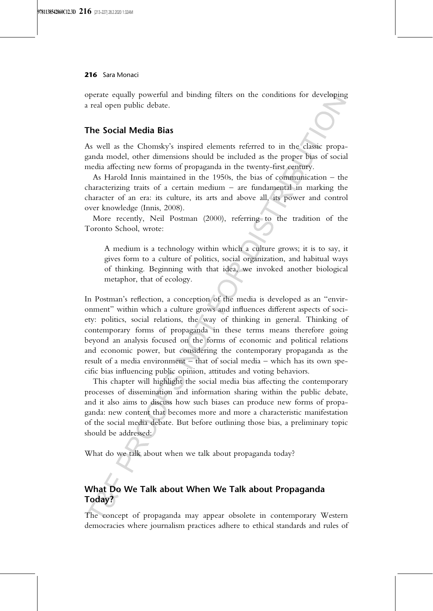operate equally powerful and binding filters on the conditions for developing a real open public debate.

### The Social Media Bias

As well as the Chomsky's inspired elements referred to in the classic propaganda model, other dimensions should be included as the proper bias of social media affecting new forms of propaganda in the twenty-first century.

As Harold Innis maintained in the 1950s, the bias of communication – the characterizing traits of a certain medium – are fundamental in marking the character of an era: its culture, its arts and above all, its power and control over knowledge (Innis, 2008).

More recently, Neil Postman (2000), referring to the tradition of the Toronto School, wrote:

A medium is a technology within which a culture grows; it is to say, it gives form to a culture of politics, social organization, and habitual ways of thinking. Beginning with that idea, we invoked another biological metaphor, that of ecology.

In Postman's reflection, a conception of the media is developed as an "environment" within which a culture grows and influences different aspects of society: politics, social relations, the way of thinking in general. Thinking of contemporary forms of propaganda in these terms means therefore going beyond an analysis focused on the forms of economic and political relations and economic power, but considering the contemporary propaganda as the result of a media environment – that of social media – which has its own specific bias influencing public opinion, attitudes and voting behaviors.

This chapter will highlight the social media bias affecting the contemporary processes of dissemination and information sharing within the public debate, and it also aims to discuss how such biases can produce new forms of propaganda: new content that becomes more and more a characteristic manifestation of the social media debate. But before outlining those bias, a preliminary topic should be addressed:

What do we talk about when we talk about propaganda today?

# What Do We Talk about When We Talk about Propaganda Today?

The concept of propaganda may appear obsolete in contemporary Western democracies where journalism practices adhere to ethical standards and rules of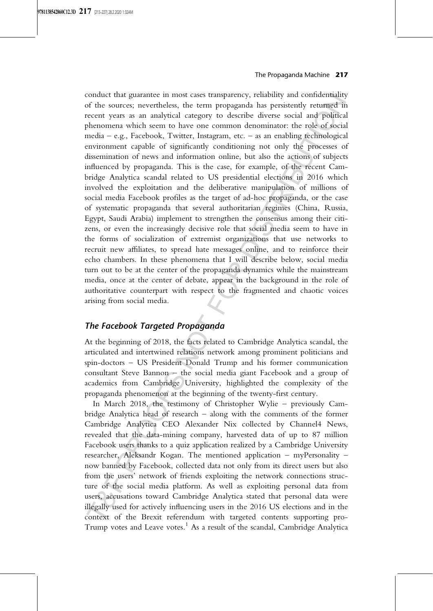conduct that guarantee in most cases transparency, reliability and confidentiality of the sources; nevertheless, the term propaganda has persistently returned in recent years as an analytical category to describe diverse social and political phenomena which seem to have one common denominator: the role of social media – e.g., Facebook, Twitter, Instagram, etc. – as an enabling technological environment capable of significantly conditioning not only the processes of dissemination of news and information online, but also the actions of subjects influenced by propaganda. This is the case, for example, of the recent Cambridge Analytica scandal related to US presidential elections in 2016 which involved the exploitation and the deliberative manipulation of millions of social media Facebook profiles as the target of ad-hoc propaganda, or the case of systematic propaganda that several authoritarian regimes (China, Russia, Egypt, Saudi Arabia) implement to strengthen the consensus among their citizens, or even the increasingly decisive role that social media seem to have in the forms of socialization of extremist organizations that use networks to recruit new affiliates, to spread hate messages online, and to reinforce their echo chambers. In these phenomena that I will describe below, social media turn out to be at the center of the propaganda dynamics while the mainstream media, once at the center of debate, appear in the background in the role of authoritative counterpart with respect to the fragmented and chaotic voices arising from social media.

# The Facebook Targeted Propaganda

At the beginning of 2018, the facts related to Cambridge Analytica scandal, the articulated and intertwined relations network among prominent politicians and spin-doctors – US President Donald Trump and his former communication consultant Steve Bannon – the social media giant Facebook and a group of academics from Cambridge University, highlighted the complexity of the propaganda phenomenon at the beginning of the twenty-first century.

In March 2018, the testimony of Christopher Wylie – previously Cambridge Analytica head of research – along with the comments of the former Cambridge Analytica CEO Alexander Nix collected by Channel4 News, revealed that the data-mining company, harvested data of up to 87 million Facebook users thanks to a quiz application realized by a Cambridge University researcher, Aleksandr Kogan. The mentioned application – myPersonality – now banned by Facebook, collected data not only from its direct users but also from the users' network of friends exploiting the network connections structure of the social media platform. As well as exploiting personal data from users, accusations toward Cambridge Analytica stated that personal data were illegally used for actively influencing users in the 2016 US elections and in the context of the Brexit referendum with targeted contents supporting pro-Trump votes and Leave votes.<sup>1</sup> As a result of the scandal, Cambridge Analytica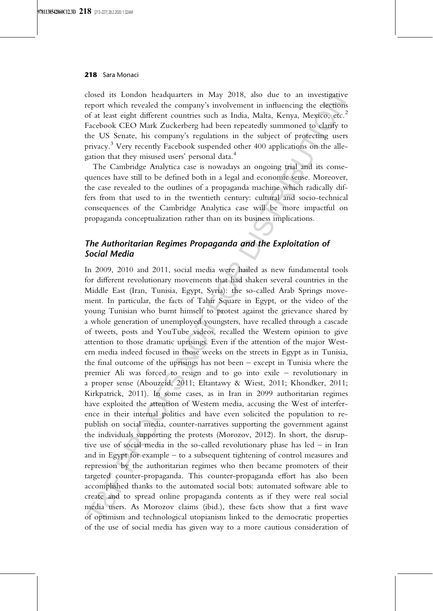closed its London headquarters in May 2018, also due to an investigative report which revealed the company's involvement in influencing the elections of at least eight different countries such as India, Malta, Kenya, Mexico, etc.<sup>2</sup> Facebook CEO Mark Zuckerberg had been repeatedly summoned to clarify to the US Senate, his company's regulations in the subject of protecting users privacy.<sup>3</sup> Very recently Facebook suspended other 400 applications on the allegation that they misused users' personal data.<sup>4</sup>

The Cambridge Analytica case is nowadays an ongoing trial and its consequences have still to be defined both in a legal and economic sense. Moreover, the case revealed to the outlines of a propaganda machine which radically differs from that used to in the twentieth century: cultural and socio-technical consequences of the Cambridge Analytica case will be more impactful on propaganda conceptualization rather than on its business implications.

# The Authoritarian Regimes Propaganda and the Exploitation of Social Media

In 2009, 2010 and 2011, social media were hailed as new fundamental tools for different revolutionary movements that had shaken several countries in the Middle East (Iran, Tunisia, Egypt, Syria): the so-called Arab Springs movement. In particular, the facts of Tahir Square in Egypt, or the video of the young Tunisian who burnt himself to protest against the grievance shared by a whole generation of unemployed youngsters, have recalled through a cascade of tweets, posts and YouTube videos, recalled the Western opinion to give attention to those dramatic uprisings. Even if the attention of the major Western media indeed focused in those weeks on the streets in Egypt as in Tunisia, the final outcome of the uprisings has not been – except in Tunisia where the premier Ali was forced to resign and to go into exile – revolutionary in a proper sense (Abouzeid, 2011; Eltantawy & Wiest, 2011; Khondker, 2011; Kirkpatrick, 2011). In some cases, as in Iran in 2099 authoritarian regimes have exploited the attention of Western media, accusing the West of interference in their internal politics and have even solicited the population to republish on social media, counter-narratives supporting the government against the individuals supporting the protests (Morozov, 2012). In short, the disruptive use of social media in the so-called revolutionary phase has led – in Iran and in Egypt for example – to a subsequent tightening of control measures and repression by the authoritarian regimes who then became promoters of their targeted counter-propaganda. This counter-propaganda effort has also been accomplished thanks to the automated social bots: automated software able to create and to spread online propaganda contents as if they were real social media users. As Morozov claims (ibid.), these facts show that a first wave of optimism and technological utopianism linked to the democratic properties of the use of social media has given way to a more cautious consideration of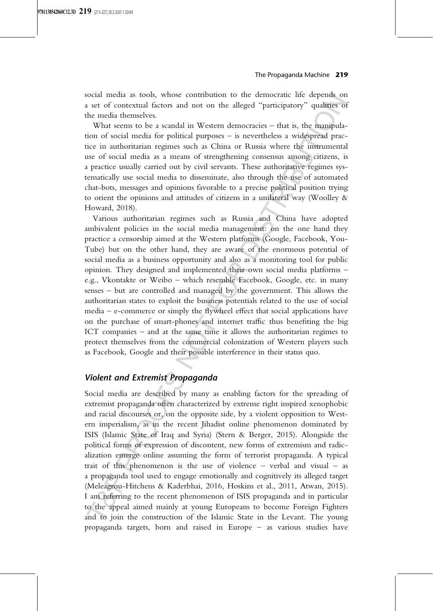social media as tools, whose contribution to the democratic life depends on a set of contextual factors and not on the alleged "participatory" qualities of the media themselves.

What seems to be a scandal in Western democracies – that is, the manipulation of social media for political purposes – is nevertheless a widespread practice in authoritarian regimes such as China or Russia where the instrumental use of social media as a means of strengthening consensus among citizens, is a practice usually carried out by civil servants. These authoritative regimes systematically use social media to disseminate, also through the use of automated chat-bots, messages and opinions favorable to a precise political position trying to orient the opinions and attitudes of citizens in a unilateral way (Woolley & Howard, 2018).

Various authoritarian regimes such as Russia and China have adopted ambivalent policies in the social media management: on the one hand they practice a censorship aimed at the Western platforms (Google, Facebook, You-Tube) but on the other hand, they are aware of the enormous potential of social media as a business opportunity and also as a monitoring tool for public opinion. They designed and implemented their own social media platforms – e.g., Vkontakte or Weibo – which resemble Facebook, Google, etc. in many senses – but are controlled and managed by the government. This allows the authoritarian states to exploit the business potentials related to the use of social media – e-commerce or simply the flywheel effect that social applications have on the purchase of smart-phones and internet traffic thus benefiting the big ICT companies – and at the same time it allows the authoritarian regimes to protect themselves from the commercial colonization of Western players such as Facebook, Google and their possible interference in their status quo.

# Violent and Extremist Propaganda

Social media are described by many as enabling factors for the spreading of extremist propaganda often characterized by extreme right inspired xenophobic and racial discourses or, on the opposite side, by a violent opposition to Western imperialism, as in the recent Jihadist online phenomenon dominated by ISIS (Islamic State of Iraq and Syria) (Stern & Berger, 2015). Alongside the political forms of expression of discontent, new forms of extremism and radicalization emerge online assuming the form of terrorist propaganda. A typical trait of this phenomenon is the use of violence – verbal and visual – as a propaganda tool used to engage emotionally and cognitively its alleged target (Meleagrou-Hitchens & Kaderbhai, 2016, Hoskins et al., 2011, Atwan, 2015). I am referring to the recent phenomenon of ISIS propaganda and in particular to the appeal aimed mainly at young Europeans to become Foreign Fighters and to join the construction of the Islamic State in the Levant. The young propaganda targets, born and raised in Europe – as various studies have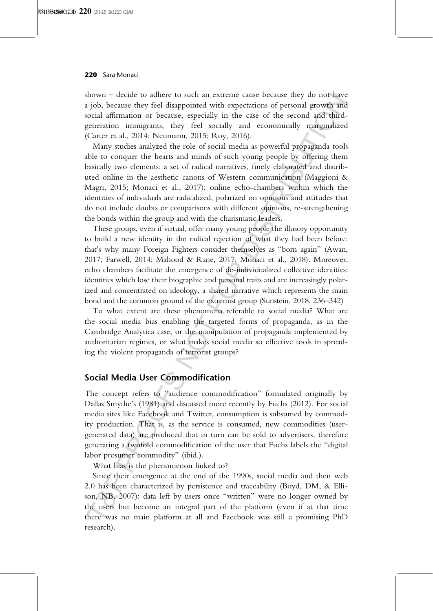shown – decide to adhere to such an extreme cause because they do not have a job, because they feel disappointed with expectations of personal growth and social affirmation or because, especially in the case of the second and thirdgeneration immigrants, they feel socially and economically marginalized (Carter et al., 2014; Neumann, 2015; Roy, 2016).

Many studies analyzed the role of social media as powerful propaganda tools able to conquer the hearts and minds of such young people by offering them basically two elements: a set of radical narratives, finely elaborated and distributed online in the aesthetic canons of Western communication (Maggioni & Magri, 2015; Monaci et al., 2017); online echo-chambers within which the identities of individuals are radicalized, polarized on opinions and attitudes that do not include doubts or comparisons with different opinions, re-strengthening the bonds within the group and with the charismatic leaders.

These groups, even if virtual, offer many young people the illusory opportunity to build a new identity in the radical rejection of what they had been before: that's why many Foreign Fighters consider themselves as "born again" (Awan, 2017; Farwell, 2014; Mahood & Rane, 2017; Monaci et al., 2018). Moreover, echo chambers facilitate the emergence of de-individualized collective identities: identities which lose their biographic and personal traits and are increasingly polarized and concentrated on ideology, a shared narrative which represents the main bond and the common ground of the extremist group (Sunstein, 2018, 236–342)

To what extent are these phenomena referable to social media? What are the social media bias enabling the targeted forms of propaganda, as in the Cambridge Analytica case, or the manipulation of propaganda implemented by authoritarian regimes, or what makes social media so effective tools in spreading the violent propaganda of terrorist groups?

# Social Media User Commodification

The concept refers to "audience commodification" formulated originally by Dallas Smythe's (1981) and discussed more recently by Fuchs (2012). For social media sites like Facebook and Twitter, consumption is subsumed by commodity production. That is, as the service is consumed, new commodities (usergenerated data) are produced that in turn can be sold to advertisers, therefore generating a twofold commodification of the user that Fuchs labels the "digital labor prosumer commodity" (ibid.).

What bias is the phenomenon linked to?

Since their emergence at the end of the 1990s, social media and then web 2.0 has been characterized by persistence and traceability (Boyd, DM, & Ellison, NB, 2007): data left by users once "written" were no longer owned by the users but become an integral part of the platform (even if at that time there was no main platform at all and Facebook was still a promising PhD research).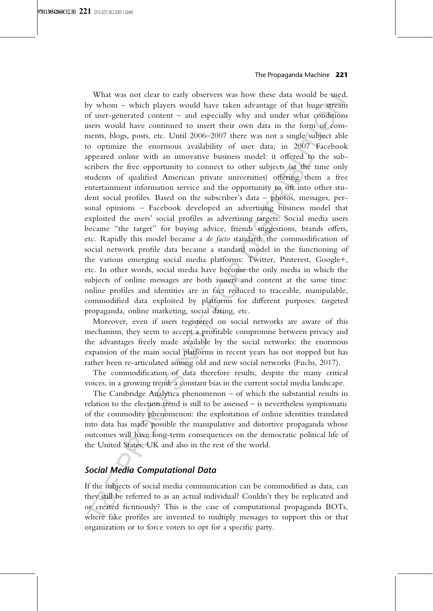What was not clear to early observers was how these data would be used, by whom – which players would have taken advantage of that huge stream of user-generated content – and especially why and under what conditions users would have continued to insert their own data in the form of comments, blogs, posts, etc. Until 2006–2007 there was not a single subject able to optimize the enormous availability of user data; in 2007 Facebook appeared online with an innovative business model: it offered to the subscribers the free opportunity to connect to other subjects (at the time only students of qualified American private universities) offering them a free entertainment information service and the opportunity to sift into other student social profiles. Based on the subscriber's data – photos, messages, personal opinions – Facebook developed an advertising business model that exploited the users' social profiles as advertising targets: Social media users became "the target" for buying advice, friends suggestions, brands offers, etc. Rapidly this model became a de facto standard: the commodification of social network profile data became a standard model in the functioning of the various emerging social media platforms: Twitter, Pinterest, Google+, etc. In other words, social media have become the only media in which the subjects of online messages are both issuers and content at the same time: online profiles and identities are in fact reduced to traceable, manipulable, commodified data exploited by platforms for different purposes: targeted propaganda, online marketing, social dating, etc.

Moreover, even if users registered on social networks are aware of this mechanism, they seem to accept a profitable compromise between privacy and the advantages freely made available by the social networks: the enormous expansion of the main social platforms in recent years has not stopped but has rather been re-articulated among old and new social networks (Fuchs, 2017).

The commodification of data therefore results, despite the many critical voices, in a growing trend: a constant bias in the current social media landscape.

The Cambridge Analytica phenomenon – of which the substantial results in relation to the election trend is still to be assessed – is nevertheless symptomatic of the commodity phenomenon: the exploitation of online identities translated into data has made possible the manipulative and distortive propaganda whose outcomes will have long-term consequences on the democratic political life of the United States, UK and also in the rest of the world.

# Social Media Computational Data

If the subjects of social media communication can be commodified as data, can they still be referred to as an actual individual? Couldn't they be replicated and or created fictitiously? This is the case of computational propaganda BOTs, where fake profiles are invented to multiply messages to support this or that organization or to force voters to opt for a specific party.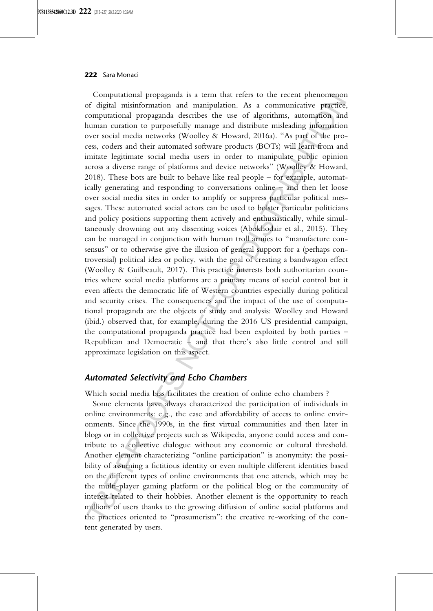Computational propaganda is a term that refers to the recent phenomenon of digital misinformation and manipulation. As a communicative practice, computational propaganda describes the use of algorithms, automation and human curation to purposefully manage and distribute misleading information over social media networks (Woolley & Howard, 2016a). "As part of the process, coders and their automated software products (BOTs) will learn from and imitate legitimate social media users in order to manipulate public opinion across a diverse range of platforms and device networks" (Woolley & Howard, 2018). These bots are built to behave like real people – for example, automatically generating and responding to conversations online – and then let loose over social media sites in order to amplify or suppress particular political messages. These automated social actors can be used to bolster particular politicians and policy positions supporting them actively and enthusiastically, while simultaneously drowning out any dissenting voices (Abokhodair et al., 2015). They can be managed in conjunction with human troll armies to "manufacture consensus" or to otherwise give the illusion of general support for a (perhaps controversial) political idea or policy, with the goal of creating a bandwagon effect (Woolley & Guilbeault, 2017). This practice interests both authoritarian countries where social media platforms are a primary means of social control but it even affects the democratic life of Western countries especially during political and security crises. The consequences and the impact of the use of computational propaganda are the objects of study and analysis: Woolley and Howard (ibid.) observed that, for example, during the 2016 US presidential campaign, the computational propaganda practice had been exploited by both parties – Republican and Democratic – and that there's also little control and still approximate legislation on this aspect.

# Automated Selectivity and Echo Chambers

Which social media bias facilitates the creation of online echo chambers ?

Some elements have always characterized the participation of individuals in online environments: e.g., the ease and affordability of access to online environments. Since the 1990s, in the first virtual communities and then later in blogs or in collective projects such as Wikipedia, anyone could access and contribute to a collective dialogue without any economic or cultural threshold. Another element characterizing "online participation" is anonymity: the possibility of assuming a fictitious identity or even multiple different identities based on the different types of online environments that one attends, which may be the multi-player gaming platform or the political blog or the community of interest related to their hobbies. Another element is the opportunity to reach millions of users thanks to the growing diffusion of online social platforms and the practices oriented to "prosumerism": the creative re-working of the content generated by users.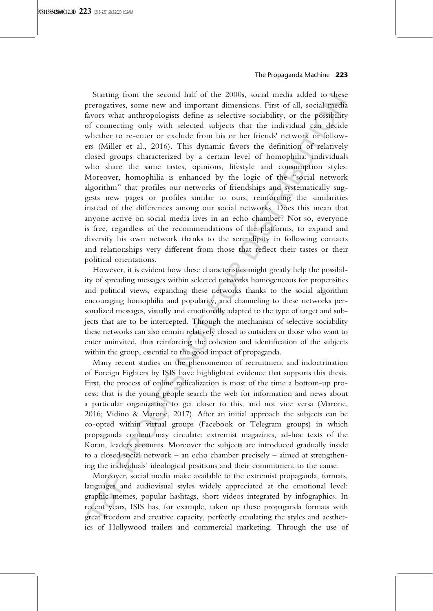Starting from the second half of the 2000s, social media added to these prerogatives, some new and important dimensions. First of all, social media favors what anthropologists define as selective sociability, or the possibility of connecting only with selected subjects that the individual can decide whether to re-enter or exclude from his or her friends' network or followers (Miller et al., 2016). This dynamic favors the definition of relatively closed groups characterized by a certain level of homophilia: individuals who share the same tastes, opinions, lifestyle and consumption styles. Moreover, homophilia is enhanced by the logic of the "social network algorithm" that profiles our networks of friendships and systematically suggests new pages or profiles similar to ours, reinforcing the similarities instead of the differences among our social networks. Does this mean that anyone active on social media lives in an echo chamber? Not so, everyone is free, regardless of the recommendations of the platforms, to expand and diversify his own network thanks to the serendipity in following contacts and relationships very different from those that reflect their tastes or their political orientations.

However, it is evident how these characteristics might greatly help the possibility of spreading messages within selected networks homogeneous for propensities and political views, expanding these networks thanks to the social algorithm encouraging homophilia and popularity, and channeling to these networks personalized messages, visually and emotionally adapted to the type of target and subjects that are to be intercepted. Through the mechanism of selective sociability these networks can also remain relatively closed to outsiders or those who want to enter uninvited, thus reinforcing the cohesion and identification of the subjects within the group, essential to the good impact of propaganda.

Many recent studies on the phenomenon of recruitment and indoctrination of Foreign Fighters by ISIS have highlighted evidence that supports this thesis. First, the process of online radicalization is most of the time a bottom-up process: that is the young people search the web for information and news about a particular organization to get closer to this, and not vice versa (Marone, 2016; Vidino & Marone, 2017). After an initial approach the subjects can be co-opted within virtual groups (Facebook or Telegram groups) in which propaganda content may circulate: extremist magazines, ad-hoc texts of the Koran, leaders accounts. Moreover the subjects are introduced gradually inside to a closed social network – an echo chamber precisely – aimed at strengthening the individuals' ideological positions and their commitment to the cause.

Moreover, social media make available to the extremist propaganda, formats, languages and audiovisual styles widely appreciated at the emotional level: graphic memes, popular hashtags, short videos integrated by infographics. In recent years, ISIS has, for example, taken up these propaganda formats with great freedom and creative capacity, perfectly emulating the styles and aesthetics of Hollywood trailers and commercial marketing. Through the use of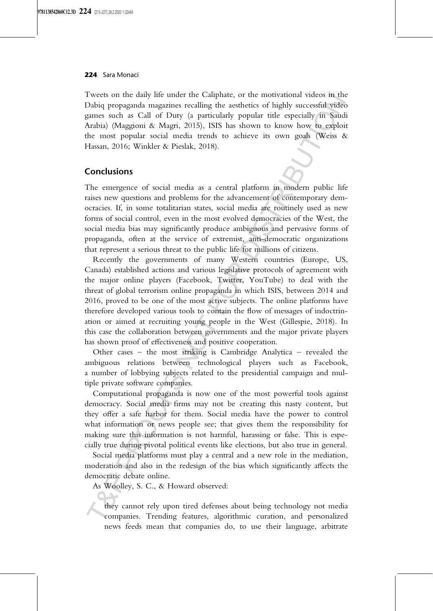Tweets on the daily life under the Caliphate, or the motivational videos in the Dabiq propaganda magazines recalling the aesthetics of highly successful video games such as Call of Duty (a particularly popular title especially in Saudi Arabia) (Maggioni & Magri, 2015), ISIS has shown to know how to exploit the most popular social media trends to achieve its own goals (Weiss & Hassan, 2016; Winkler & Pieslak, 2018).

# Conclusions

The emergence of social media as a central platform in modern public life raises new questions and problems for the advancement of contemporary democracies. If, in some totalitarian states, social media are routinely used as new forms of social control, even in the most evolved democracies of the West, the social media bias may significantly produce ambiguous and pervasive forms of propaganda, often at the service of extremist, anti-democratic organizations that represent a serious threat to the public life for millions of citizens.

Recently the governments of many Western countries (Europe, US, Canada) established actions and various legislative protocols of agreement with the major online players (Facebook, Twitter, YouTube) to deal with the threat of global terrorism online propaganda in which ISIS, between 2014 and 2016, proved to be one of the most active subjects. The online platforms have therefore developed various tools to contain the flow of messages of indoctrination or aimed at recruiting young people in the West (Gillespie, 2018). In this case the collaboration between governments and the major private players has shown proof of effectiveness and positive cooperation.

Other cases – the most striking is Cambridge Analytica – revealed the ambiguous relations between technological players such as Facebook, a number of lobbying subjects related to the presidential campaign and multiple private software companies.

Computational propaganda is now one of the most powerful tools against democracy. Social media firms may not be creating this nasty content, but they offer a safe harbor for them. Social media have the power to control what information or news people see; that gives them the responsibility for making sure this information is not harmful, harassing or false. This is especially true during pivotal political events like elections, but also true in general.

Social media platforms must play a central and a new role in the mediation, moderation and also in the redesign of the bias which significantly affects the democratic debate online.

As Woolley, S. C., & Howard observed:

they cannot rely upon tired defenses about being technology not media companies. Trending features, algorithmic curation, and personalized news feeds mean that companies do, to use their language, arbitrate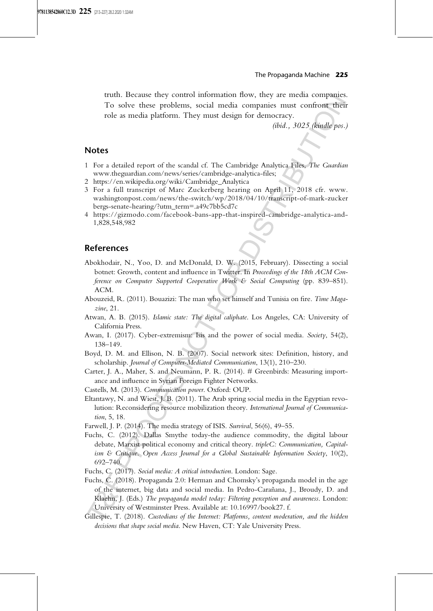truth. Because they control information flow, they are media companies. To solve these problems, social media companies must confront their role as media platform. They must design for democracy.

(ibid., 3025 (kindle pos.)

### Notes

- 1 For a detailed report of the scandal cf. The Cambridge Analytica Files, The Guardian www.theguardian.com/news/series/cambridge-analytica-files;
- 2 https://en.wikipedia.org/wiki/Cambridge\_Analytica
- 3 For a full transcript of Marc Zuckerberg hearing on April 11, 2018 cfr. www. washingtonpost.com/news/the-switch/wp/2018/04/10/transcript-of-mark-zucker bergs-senate-hearing/?utm\_term=.a49c7bb5cd7c
- 4 https://gizmodo.com/facebook-bans-app-that-inspired-cambridge-analytica-and-1,828,548,982

## References

- Abokhodair, N., Yoo, D. and McDonald, D. W. (2015, February). Dissecting a social botnet: Growth, content and influence in Twitter. In Proceedings of the 18th ACM Conference on Computer Supported Cooperative Work & Social Computing (pp. 839-851). ACM.
- Abouzeid, R. (2011). Bouazizi: The man who set himself and Tunisia on fire. Time Magazine, 21.
- Atwan, A. B. (2015). Islamic state: The digital caliphate. Los Angeles, CA: University of California Press.
- Awan, I. (2017). Cyber-extremism: Isis and the power of social media. Society, 54(2), 138–149.
- Boyd, D. M. and Ellison, N. B. (2007). Social network sites: Definition, history, and scholarship. Journal of Computer-Mediated Communication, 13(1), 210–230.
- Carter, J. A., Maher, S. and Neumann, P. R. (2014). # Greenbirds: Measuring importance and influence in Syrian Foreign Fighter Networks.
- Castells, M. (2013). Communication power. Oxford: OUP.
- Eltantawy, N. and Wiest, J. B. (2011). The Arab spring social media in the Egyptian revolution: Reconsidering resource mobilization theory. International Journal of Communication, 5, 18.
- Farwell, J. P. (2014). The media strategy of ISIS. Survival, 56(6), 49–55.
- Fuchs, C. (2012). Dallas Smythe today-the audience commodity, the digital labour debate, Marxist political economy and critical theory. tripleC: Communication, Capitalism & Critique. Open Access Journal for a Global Sustainable Information Society, 10(2), 692–740.
- Fuchs, C. (2017). Social media: A critical introduction. London: Sage.
- Fuchs, C. (2018). Propaganda 2.0: Herman and Chomsky's propaganda model in the age of the internet, big data and social media. In Pedro-Carañana, J., Broudy, D. and Klaehn, J. (Eds.) The propaganda model today: Filtering perception and awareness. London: University of Westminster Press. Available at: 10.16997/book27. f.
- Gillespie, T. (2018). Custodians of the Internet: Platforms, content moderation, and the hidden decisions that shape social media. New Haven, CT: Yale University Press.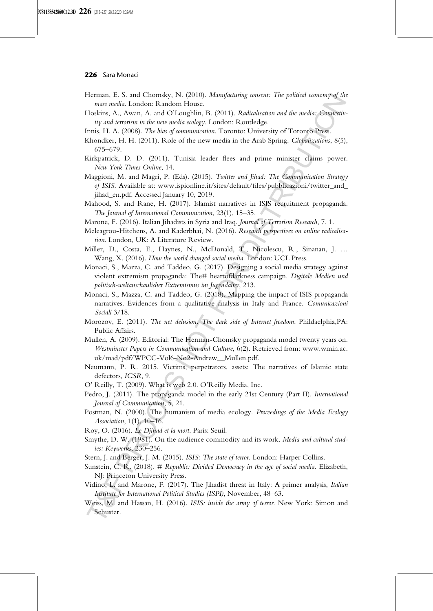- Herman, E. S. and Chomsky, N. (2010). Manufacturing consent: The political economy of the mass media. London: Random House.
- Hoskins, A., Awan, A. and O'Loughlin, B. (2011). Radicalisation and the media: Connectivity and terrorism in the new media ecology. London: Routledge.
- Innis, H. A. (2008). The bias of communication. Toronto: University of Toronto Press.
- Khondker, H. H. (2011). Role of the new media in the Arab Spring. Globalizations, 8(5), 675–679.
- Kirkpatrick, D. D. (2011). Tunisia leader flees and prime minister claims power. New York Times Online, 14.
- Maggioni, M. and Magri, P. (Eds). (2015). Twitter and Jihad: The Communication Strategy of ISIS. Available at: www.ispionline.it/sites/default/files/pubblicazioni/twitter\_and\_ jihad\_en.pdf. Accessed January 10, 2019.
- Mahood, S. and Rane, H. (2017). Islamist narratives in ISIS recruitment propaganda. The Journal of International Communication, 23(1), 15–35.
- Marone, F. (2016). Italian Jihadists in Syria and Iraq. *Journal of Terrorism Research*, 7, 1.
- Meleagrou-Hitchens, A. and Kaderbhai, N. (2016). Research perspectives on online radicalisation. London, UK: A Literature Review.
- Miller, D., Costa, E., Haynes, N., McDonald, T., Nicolescu, R., Sinanan, J. … Wang, X. (2016). How the world changed social media. London: UCL Press.
- Monaci, S., Mazza, C. and Taddeo, G. (2017). Designing a social media strategy against violent extremism propaganda: The# heartofdarkness campaign. Digitale Medien und politisch-weltanschaulicher Extremismus im Jugendalter, 213.
- Monaci, S., Mazza, C. and Taddeo, G. (2018). Mapping the impact of ISIS propaganda narratives. Evidences from a qualitative analysis in Italy and France. Comunicazioni Sociali 3/18.
- Morozov, E. (2011). The net delusion: The dark side of Internet freedom. Phildaelphia,PA: Public Affairs.
- Mullen, A. (2009). Editorial: The Herman-Chomsky propaganda model twenty years on. Westminster Papers in Communication and Culture, 6(2). Retrieved from: www.wmin.ac. uk/mad/pdf/WPCC-Vol6-No2-Andrew\_\_Mullen.pdf.
- Neumann, P. R. 2015. Victims, perpetrators, assets: The narratives of Islamic state defectors, ICSR, 9.
- O' Reilly, T. (2009). What is web 2.0. O'Reilly Media, Inc.
- Pedro, J. (2011). The propaganda model in the early 21st Century (Part II). International Journal of Communication, 5, 21.
- Postman, N. (2000). The humanism of media ecology. Proceedings of the Media Ecology Association, 1(1), 10–16.
- Roy, O. (2016). Le Djihad et la mort. Paris: Seuil.
- Smythe, D. W. (1981). On the audience commodity and its work. Media and cultural studies: Keyworks, 230–256.
- Stern, J. and Berger, J. M. (2015). ISIS: The state of terror. London: Harper Collins.
- Sunstein, C. R. (2018). # Republic: Divided Democracy in the age of social media. Elizabeth, NJ: Princeton University Press.
- Vidino, L. and Marone, F. (2017). The Jihadist threat in Italy: A primer analysis, Italian Institute for International Political Studies (ISPI), November, 48–63.
- Weiss, M. and Hassan, H. (2016). ISIS: inside the army of terror. New York: Simon and Schuster.